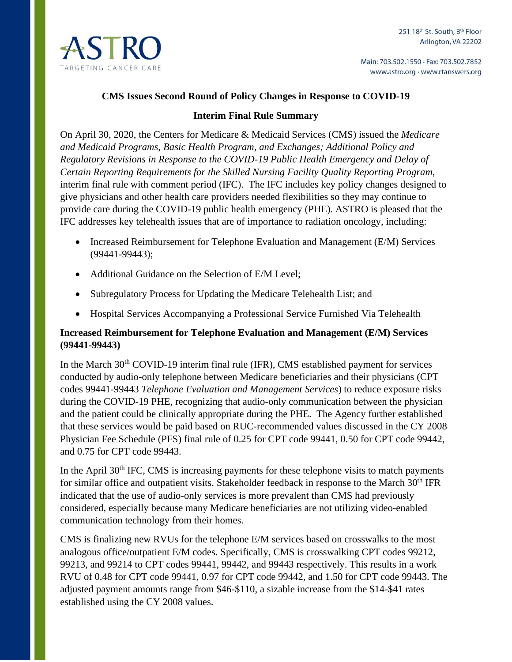

#### **CMS Issues Second Round of Policy Changes in Response to COVID-19**

#### **Interim Final Rule Summary**

On April 30, 2020, the Centers for Medicare & Medicaid Services (CMS) issued the *Medicare and Medicaid Programs, Basic Health Program, and Exchanges; Additional Policy and Regulatory Revisions in Response to the COVID-19 Public Health Emergency and Delay of Certain Reporting Requirements for the Skilled Nursing Facility Quality Reporting Program*, interim final rule with comment period (IFC). The IFC includes key policy changes designed to give physicians and other health care providers needed flexibilities so they may continue to provide care during the COVID-19 public health emergency (PHE). ASTRO is pleased that the IFC addresses key telehealth issues that are of importance to radiation oncology, including:

- Increased Reimbursement for Telephone Evaluation and Management (E/M) Services (99441-99443);
- Additional Guidance on the Selection of E/M Level;
- Subregulatory Process for Updating the Medicare Telehealth List; and
- Hospital Services Accompanying a Professional Service Furnished Via Telehealth

### **Increased Reimbursement for Telephone Evaluation and Management (E/M) Services (99441-99443)**

In the March 30<sup>th</sup> COVID-19 interim final rule (IFR), CMS established payment for services conducted by audio-only telephone between Medicare beneficiaries and their physicians (CPT codes 99441-99443 *Telephone Evaluation and Management Services*) to reduce exposure risks during the COVID-19 PHE, recognizing that audio-only communication between the physician and the patient could be clinically appropriate during the PHE. The Agency further established that these services would be paid based on RUC-recommended values discussed in the CY 2008 Physician Fee Schedule (PFS) final rule of 0.25 for CPT code 99441, 0.50 for CPT code 99442, and 0.75 for CPT code 99443.

In the April  $30<sup>th</sup>$  IFC, CMS is increasing payments for these telephone visits to match payments for similar office and outpatient visits. Stakeholder feedback in response to the March 30<sup>th</sup> IFR indicated that the use of audio-only services is more prevalent than CMS had previously considered, especially because many Medicare beneficiaries are not utilizing video-enabled communication technology from their homes.

CMS is finalizing new RVUs for the telephone E/M services based on crosswalks to the most analogous office/outpatient E/M codes. Specifically, CMS is crosswalking CPT codes 99212, 99213, and 99214 to CPT codes 99441, 99442, and 99443 respectively. This results in a work RVU of 0.48 for CPT code 99441, 0.97 for CPT code 99442, and 1.50 for CPT code 99443. The adjusted payment amounts range from \$46-\$110, a sizable increase from the \$14-\$41 rates established using the CY 2008 values.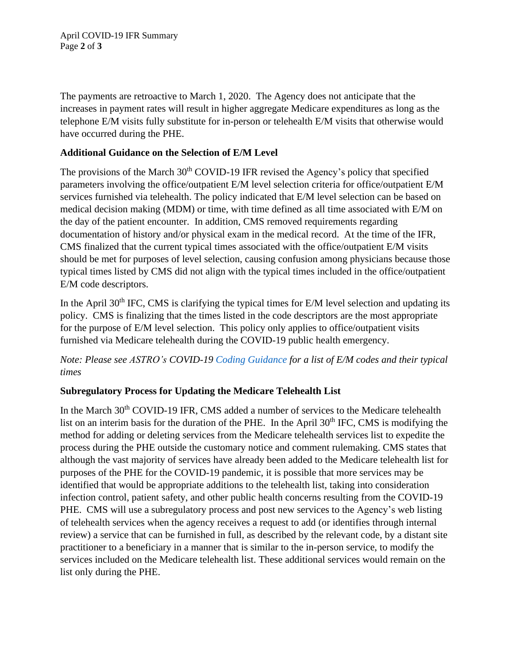The payments are retroactive to March 1, 2020. The Agency does not anticipate that the increases in payment rates will result in higher aggregate Medicare expenditures as long as the telephone E/M visits fully substitute for in-person or telehealth E/M visits that otherwise would have occurred during the PHE.

### **Additional Guidance on the Selection of E/M Level**

The provisions of the March 30<sup>th</sup> COVID-19 IFR revised the Agency's policy that specified parameters involving the office/outpatient E/M level selection criteria for office/outpatient E/M services furnished via telehealth. The policy indicated that E/M level selection can be based on medical decision making (MDM) or time, with time defined as all time associated with E/M on the day of the patient encounter. In addition, CMS removed requirements regarding documentation of history and/or physical exam in the medical record. At the time of the IFR, CMS finalized that the current typical times associated with the office/outpatient E/M visits should be met for purposes of level selection, causing confusion among physicians because those typical times listed by CMS did not align with the typical times included in the office/outpatient E/M code descriptors.

In the April  $30<sup>th</sup>$  IFC, CMS is clarifying the typical times for E/M level selection and updating its policy. CMS is finalizing that the times listed in the code descriptors are the most appropriate for the purpose of E/M level selection. This policy only applies to office/outpatient visits furnished via Medicare telehealth during the COVID-19 public health emergency.

*Note: Please see ASTRO's COVID-19 Coding [Guidance](https://www.astro.org/Daily-Practice/Coding/Coding-Guidance/Coding-Updates/COVID-19-Coding-Guidance) for a list of E/M codes and their typical times*

# **Subregulatory Process for Updating the Medicare Telehealth List**

In the March 30<sup>th</sup> COVID-19 IFR, CMS added a number of services to the Medicare telehealth list on an interim basis for the duration of the PHE. In the April  $30<sup>th</sup>$  IFC, CMS is modifying the method for adding or deleting services from the Medicare telehealth services list to expedite the process during the PHE outside the customary notice and comment rulemaking. CMS states that although the vast majority of services have already been added to the Medicare telehealth list for purposes of the PHE for the COVID-19 pandemic, it is possible that more services may be identified that would be appropriate additions to the telehealth list, taking into consideration infection control, patient safety, and other public health concerns resulting from the COVID-19 PHE. CMS will use a subregulatory process and post new services to the Agency's web listing of telehealth services when the agency receives a request to add (or identifies through internal review) a service that can be furnished in full, as described by the relevant code, by a distant site practitioner to a beneficiary in a manner that is similar to the in-person service, to modify the services included on the Medicare telehealth list. These additional services would remain on the list only during the PHE.